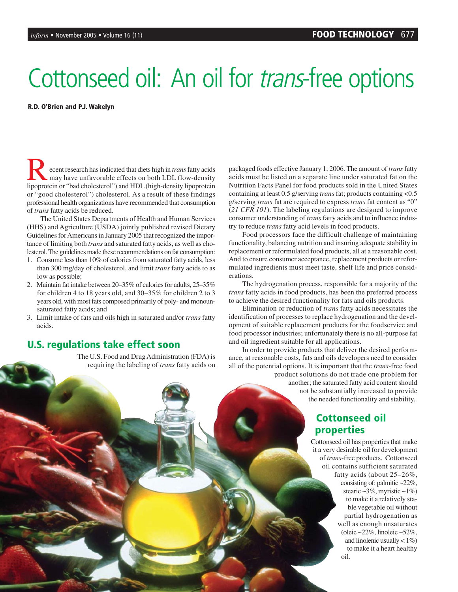# Cottonseed oil: An oil for *trans*-free options

**R.D. O'Brien and P.J. Wakelyn**

Recent research has indicated that diets high in *trans*fatty acids may have unfavorable effects on both LDL (low-density lipoprotein or "bad cholesterol") and HDL (high-density lipoprotein or "good cholesterol") cholesterol. As a result of these findings professional health organizations have recommended that consumption of *trans* fatty acids be reduced.

The United States Departments of Health and Human Services (HHS) and Agriculture (USDA) jointly published revised Dietary Guidelines for Americans in January 2005 that recognized the importance of limiting both *trans* and saturated fatty acids, as well as cholesterol. The guidelines made these recommendations on fat consumption:

- 1. Consume less than 10% of calories from saturated fatty acids, less than 300 mg/day of cholesterol, and limit *trans* fatty acids to as low as possible;
- 2. Maintain fat intake between 20–35% of calories for adults, 25–35% for children 4 to 18 years old, and 30–35% for children 2 to 3 years old, with most fats composed primarily of poly- and monounsaturated fatty acids; and
- 3. Limit intake of fats and oils high in saturated and/or *trans* fatty acids.

#### **U.S. regulations take effect soon**

The U.S. Food and Drug Administration (FDA) is requiring the labeling of *trans* fatty acids on packaged foods effective January 1, 2006. The amount of *trans*fatty acids must be listed on a separate line under saturated fat on the Nutrition Facts Panel for food products sold in the United States containing at least 0.5 g/serving *trans* fat; products containing <0.5 g/serving *trans* fat are required to express *trans* fat content as "0" (*21 CFR 101*). The labeling regulations are designed to improve consumer understanding of *trans* fatty acids and to influence industry to reduce *trans* fatty acid levels in food products.

Food processors face the difficult challenge of maintaining functionality, balancing nutrition and insuring adequate stability in replacement or reformulated food products, all at a reasonable cost. And to ensure consumer acceptance, replacement products or reformulated ingredients must meet taste, shelf life and price considerations.

The hydrogenation process, responsible for a majority of the *trans* fatty acids in food products, has been the preferred process to achieve the desired functionality for fats and oils products.

Elimination or reduction of *trans* fatty acids necessitates the identification of processes to replace hydrogenation and the development of suitable replacement products for the foodservice and food processor industries; unfortunately there is no all-purpose fat and oil ingredient suitable for all applications.

In order to provide products that deliver the desired performance, at reasonable costs, fats and oils developers need to consider all of the potential options. It is important that the *trans*-free food product solutions do not trade one problem for

another; the saturated fatty acid content should not be substantially increased to provide the needed functionality and stability.

#### **Cottonseed oil properties**

Cottonseed oil has properties that make it a very desirable oil for development of *trans*-free products. Cottonseed oil contains sufficient saturated fatty acids (about 25–26%, consisting of: palmitic ~22%, stearic  $\sim$ 3%, myristic  $\sim$ 1%) to make it a relatively stable vegetable oil without partial hydrogenation as well as enough unsaturates (oleic ~22%, linoleic ~52%, and linolenic usually  $\lt$  1%) to make it a heart healthy oil.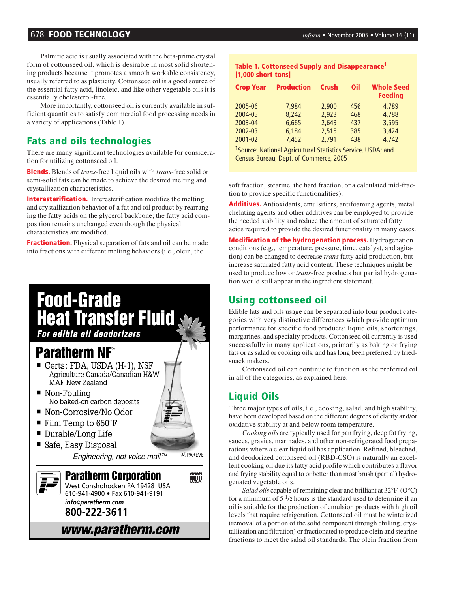#### 678 **FOOD TECHNOLOGY** *inform* • November 2005 • Volume 16 (11)

Palmitic acid is usually associated with the beta-prime crystal form of cottonseed oil, which is desirable in most solid shortening products because it promotes a smooth workable consistency, usually referred to as plasticity. Cottonseed oil is a good source of the essential fatty acid, linoleic, and like other vegetable oils it is essentially cholesterol-free.

More importantly, cottonseed oil is currently available in sufficient quantities to satisfy commercial food processing needs in a variety of applications (Table 1).

#### **Fats and oils technologies**

There are many significant technologies available for consideration for utilizing cottonseed oil.

**Blends.** Blends of *trans*-free liquid oils with *trans*-free solid or semi-solid fats can be made to achieve the desired melting and crystallization characteristics.

**Interesterification.** Interesterification modifies the melting and crystallization behavior of a fat and oil product by rearranging the fatty acids on the glycerol backbone; the fatty acid composition remains unchanged even though the physical characteristics are modified.

**Fractionation.** Physical separation of fats and oil can be made into fractions with different melting behaviors (i.e., olein, the

## **Food-Grade Heat Transfer Fluid**

*For edible oil deodorizers* 

### **Paratherm NF**®

- Certs: FDA, USDA (H-1), NSF Agriculture Canada/Canadian H&W MAF New Zealand
- Non-Fouling No baked-on carbon deposits
- Non-Corrosive/No Odor
- Film Temp to 650°F
- Durable/Long Life
- Safe, Easy Disposal

Engineering, not voice mail™  $(D)$  PARFVF

**Paratherm Corporation Milli** West Conshohocken PA 19428 USA 610-941-4900 • Fax 610-941-9191 *info@paratherm.com* **800-222-3611** *www.paratherm.com*

#### **Table 1. Cottonseed Supply and Disappearance1 [1,000 short tons]**

| <b>Crop Year</b> | <b>Production</b> | <b>Crush</b> | Oil | <b>Whole Seed</b><br><b>Feeding</b> |
|------------------|-------------------|--------------|-----|-------------------------------------|
| 2005-06          | 7.984             | 2.900        | 456 | 4.789                               |
| 2004-05          | 8.242             | 2,923        | 468 | 4,788                               |
| 2003-04          | 6.665             | 2,643        | 437 | 3.595                               |
| 2002-03          | 6.184             | 2.515        | 385 | 3,424                               |
| 2001-02          | 7.452             | 2.791        | 438 | 4.742                               |

**1** Source: National Agricultural Statistics Service, USDA; and Census Bureau, Dept. of Commerce, 2005

soft fraction, stearine, the hard fraction, or a calculated mid-fraction to provide specific functionalities).

**Additives.** Antioxidants, emulsifiers, antifoaming agents, metal chelating agents and other additives can be employed to provide the needed stability and reduce the amount of saturated fatty acids required to provide the desired functionality in many cases.

**Modification of the hydrogenation process.** Hydrogenation conditions (e.g., temperature, pressure, time, catalyst, and agitation) can be changed to decrease *trans* fatty acid production, but increase saturated fatty acid content. These techniques might be used to produce low or *trans*-free products but partial hydrogenation would still appear in the ingredient statement.

#### **Using cottonseed oil**

Edible fats and oils usage can be separated into four product categories with very distinctive differences which provide optimum performance for specific food products: liquid oils, shortenings, margarines, and specialty products. Cottonseed oil currently is used successfully in many applications, primarily as baking or frying fats or as salad or cooking oils, and has long been preferred by friedsnack makers.

Cottonseed oil can continue to function as the preferred oil in all of the categories, as explained here.

#### **Liquid Oils**

Three major types of oils, i.e., cooking, salad, and high stability, have been developed based on the different degrees of clarity and/or oxidative stability at and below room temperature.

*Cooking oils* are typically used for pan frying, deep fat frying, sauces, gravies, marinades, and other non-refrigerated food preparations where a clear liquid oil has application. Refined, bleached, and deodorized cottonseed oil (RBD-CSO) is naturally an excellent cooking oil due its fatty acid profile which contributes a flavor and frying stability equal to or better than most brush (partial) hydrogenated vegetable oils.

*Salad oils* capable of remaining clear and brilliant at 32°F (O°C) for a minimum of  $5 \frac{1}{2}$  hours is the standard used to determine if an oil is suitable for the production of emulsion products with high oil levels that require refrigeration. Cottonseed oil must be winterized (removal of a portion of the solid component through chilling, crystallization and filtration) or fractionated to produce olein and stearine fractions to meet the salad oil standards. The olein fraction from